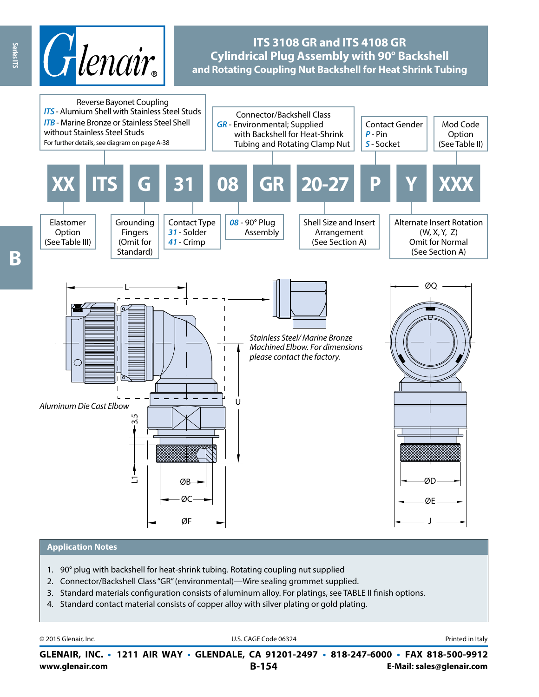

# **ITS 3108 GR and ITS 4108 GR Cylindrical Plug Assembly with 90° Backshell and Rotating Coupling Nut Backshell for Heat Shrink Tubing**



#### **Application Notes**

- 1. 90° plug with backshell for heat-shrink tubing. Rotating coupling nut supplied
- 2. Connector/Backshell Class "GR" (environmental)—Wire sealing grommet supplied.
- 3. Standard materials configuration consists of aluminum alloy. For platings, see TABLE II finish options.
- 4. Standard contact material consists of copper alloy with silver plating or gold plating.

| © 2015 Glenair, Inc. | U.S. CAGE Code 06324<br>GLENAIR, INC. • 1211 AIR WAY • GLENDALE, CA 91201-2497 • 818-247-6000 • FAX 818-500-9912 | Printed in Italy          |
|----------------------|------------------------------------------------------------------------------------------------------------------|---------------------------|
| www.glenair.com      | $B-154$                                                                                                          | E-Mail: sales@glenair.com |

Series ITS